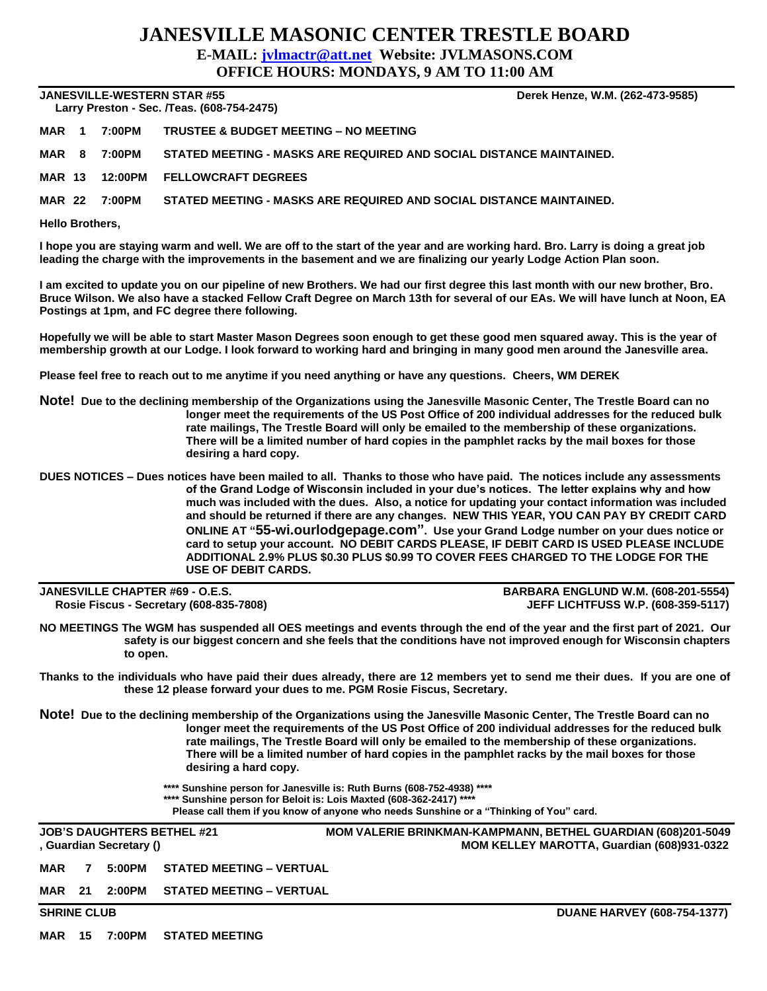## **JANESVILLE MASONIC CENTER TRESTLE BOARD E-MAIL: [jvlmactr@att.net](mailto:jvlmactr@att.net) Website: JVLMASONS.COM**

**OFFICE HOURS: MONDAYS, 9 AM TO 11:00 AM**

**JANESVILLE-WESTERN STAR #55 Derek Henze, W.M. (262-473-9585)**

 **Larry Preston - Sec. /Teas. (608-754-2475)** 

**MAR 1 7:00PM TRUSTEE & BUDGET MEETING – NO MEETING**

**MAR 8 7:00PM STATED MEETING - MASKS ARE REQUIRED AND SOCIAL DISTANCE MAINTAINED.**

**MAR 13 12:00PM FELLOWCRAFT DEGREES**

**MAR 22 7:00PM STATED MEETING - MASKS ARE REQUIRED AND SOCIAL DISTANCE MAINTAINED.**

**Hello Brothers,**

**I hope you are staying warm and well. We are off to the start of the year and are working hard. Bro. Larry is doing a great job leading the charge with the improvements in the basement and we are finalizing our yearly Lodge Action Plan soon.**

**I am excited to update you on our pipeline of new Brothers. We had our first degree this last month with our new brother, Bro. Bruce Wilson. We also have a stacked Fellow Craft Degree on March 13th for several of our EAs. We will have lunch at Noon, EA Postings at 1pm, and FC degree there following.**

**Hopefully we will be able to start Master Mason Degrees soon enough to get these good men squared away. This is the year of membership growth at our Lodge. I look forward to working hard and bringing in many good men around the Janesville area.**

**Please feel free to reach out to me anytime if you need anything or have any questions. Cheers, WM DEREK**

**Note! Due to the declining membership of the Organizations using the Janesville Masonic Center, The Trestle Board can no longer meet the requirements of the US Post Office of 200 individual addresses for the reduced bulk rate mailings, The Trestle Board will only be emailed to the membership of these organizations. There will be a limited number of hard copies in the pamphlet racks by the mail boxes for those desiring a hard copy.**

**DUES NOTICES – Dues notices have been mailed to all. Thanks to those who have paid. The notices include any assessments of the Grand Lodge of Wisconsin included in your due's notices. The letter explains why and how much was included with the dues. Also, a notice for updating your contact information was included and should be returned if there are any changes. NEW THIS YEAR, YOU CAN PAY BY CREDIT CARD ONLINE AT "55-wi.ourlodgepage.com". Use your Grand Lodge number on your dues notice or card to setup your account. NO DEBIT CARDS PLEASE, IF DEBIT CARD IS USED PLEASE INCLUDE ADDITIONAL 2.9% PLUS \$0.30 PLUS \$0.99 TO COVER FEES CHARGED TO THE LODGE FOR THE USE OF DEBIT CARDS.**

**JANESVILLE CHAPTER #69 - O.E.S. BARBARA ENGLUND W.M. (608-201-5554) Rosie Fiscus - Secretary (608-835-7808) JEFF LICHTFUSS W.P. (608-359-5117)**

**NO MEETINGS The WGM has suspended all OES meetings and events through the end of the year and the first part of 2021. Our safety is our biggest concern and she feels that the conditions have not improved enough for Wisconsin chapters to open.** 

**Thanks to the individuals who have paid their dues already, there are 12 members yet to send me their dues. If you are one of these 12 please forward your dues to me. PGM Rosie Fiscus, Secretary.**

**Note! Due to the declining membership of the Organizations using the Janesville Masonic Center, The Trestle Board can no longer meet the requirements of the US Post Office of 200 individual addresses for the reduced bulk rate mailings, The Trestle Board will only be emailed to the membership of these organizations. There will be a limited number of hard copies in the pamphlet racks by the mail boxes for those desiring a hard copy.** 

**\*\*\*\* Sunshine person for Janesville is: Ruth Burns (608-752-4938) \*\*\*\***

**\*\*\*\* Sunshine person for Beloit is: Lois Maxted (608-362-2417) \*\*\*\***

**Please call them if you know of anyone who needs Sunshine or a "Thinking of You" card.**

| <b>JOB'S DAUGHTERS BETHEL #21</b><br>, Guardian Secretary () |   |  |                                  | <b>MOM VALERIE BRINKMAN-KAMPMANN, BETHEL GUARDIAN (608)201-5049</b><br>MOM KELLEY MAROTTA, Guardian (608)931-0322 |
|--------------------------------------------------------------|---|--|----------------------------------|-------------------------------------------------------------------------------------------------------------------|
| <b>MAR</b>                                                   | 7 |  | 5:00PM STATED MEETING - VERTUAL  |                                                                                                                   |
| <b>MAR</b> 21                                                |   |  | 2:00PM  STATED MEETING – VERTUAL |                                                                                                                   |
| <b>SHRINE CLUB</b>                                           |   |  |                                  | <b>DUANE HARVEY (608-754-1377)</b>                                                                                |

**MAR 15 7:00PM STATED MEETING**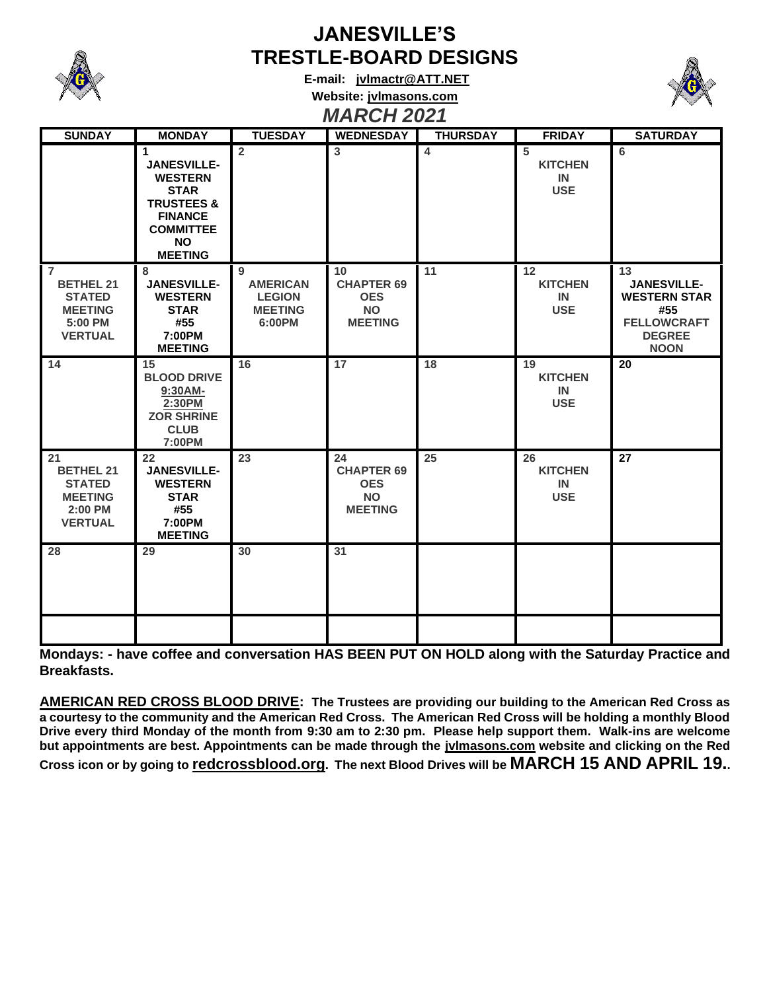

## **JANESVILLE'S TRESTLE-BOARD DESIGNS**

**E-mail: [jvlmactr@ATT.NET](mailto:jvlmactr@ATT.NET) Website: jvlmasons.com** *MARCH 2021*



| <b>SUNDAY</b>                                                                                      | <b>MONDAY</b>                                                                                                                                                    | <b>TUESDAY</b>                                                    | <b>WEDNESDAY</b>                                                     | <b>THURSDAY</b> | <b>FRIDAY</b>                            | <b>SATURDAY</b>                                                                                              |
|----------------------------------------------------------------------------------------------------|------------------------------------------------------------------------------------------------------------------------------------------------------------------|-------------------------------------------------------------------|----------------------------------------------------------------------|-----------------|------------------------------------------|--------------------------------------------------------------------------------------------------------------|
|                                                                                                    | $\mathbf 1$<br><b>JANESVILLE-</b><br><b>WESTERN</b><br><b>STAR</b><br><b>TRUSTEES &amp;</b><br><b>FINANCE</b><br><b>COMMITTEE</b><br><b>NO</b><br><b>MEETING</b> | $\overline{2}$                                                    | 3                                                                    | $\overline{4}$  | 5<br><b>KITCHEN</b><br>IN<br><b>USE</b>  | 6                                                                                                            |
| $\overline{7}$<br><b>BETHEL 21</b><br><b>STATED</b><br><b>MEETING</b><br>5:00 PM<br><b>VERTUAL</b> | 8<br><b>JANESVILLE-</b><br><b>WESTERN</b><br><b>STAR</b><br>#55<br>7:00PM<br><b>MEETING</b>                                                                      | 9<br><b>AMERICAN</b><br><b>LEGION</b><br><b>MEETING</b><br>6:00PM | 10<br><b>CHAPTER 69</b><br><b>OES</b><br><b>NO</b><br><b>MEETING</b> | 11              | 12<br><b>KITCHEN</b><br>IN<br><b>USE</b> | 13<br><b>JANESVILLE-</b><br><b>WESTERN STAR</b><br>#55<br><b>FELLOWCRAFT</b><br><b>DEGREE</b><br><b>NOON</b> |
| 14                                                                                                 | 15<br><b>BLOOD DRIVE</b><br>9:30AM-<br>2:30PM<br><b>ZOR SHRINE</b><br><b>CLUB</b><br>7:00PM                                                                      | 16                                                                | 17                                                                   | 18              | 19<br><b>KITCHEN</b><br>IN<br><b>USE</b> | 20                                                                                                           |
| 21<br><b>BETHEL 21</b><br><b>STATED</b><br><b>MEETING</b><br>2:00 PM<br><b>VERTUAL</b>             | 22<br><b>JANESVILLE-</b><br><b>WESTERN</b><br><b>STAR</b><br>#55<br>7:00PM<br><b>MEETING</b>                                                                     | 23                                                                | 24<br><b>CHAPTER 69</b><br><b>OES</b><br><b>NO</b><br><b>MEETING</b> | 25              | 26<br><b>KITCHEN</b><br>IN<br><b>USE</b> | 27                                                                                                           |
| 28                                                                                                 | 29                                                                                                                                                               | 30                                                                | 31                                                                   |                 |                                          |                                                                                                              |

**Mondays: - have coffee and conversation HAS BEEN PUT ON HOLD along with the Saturday Practice and Breakfasts.**

**AMERICAN RED CROSS BLOOD DRIVE: The Trustees are providing our building to the American Red Cross as a courtesy to the community and the American Red Cross. The American Red Cross will be holding a monthly Blood Drive every third Monday of the month from 9:30 am to 2:30 pm. Please help support them. Walk-ins are welcome but appointments are best. Appointments can be made through the jvlmasons.com website and clicking on the Red Cross icon or by going to redcrossblood.org. The next Blood Drives will be MARCH 15 AND APRIL 19..**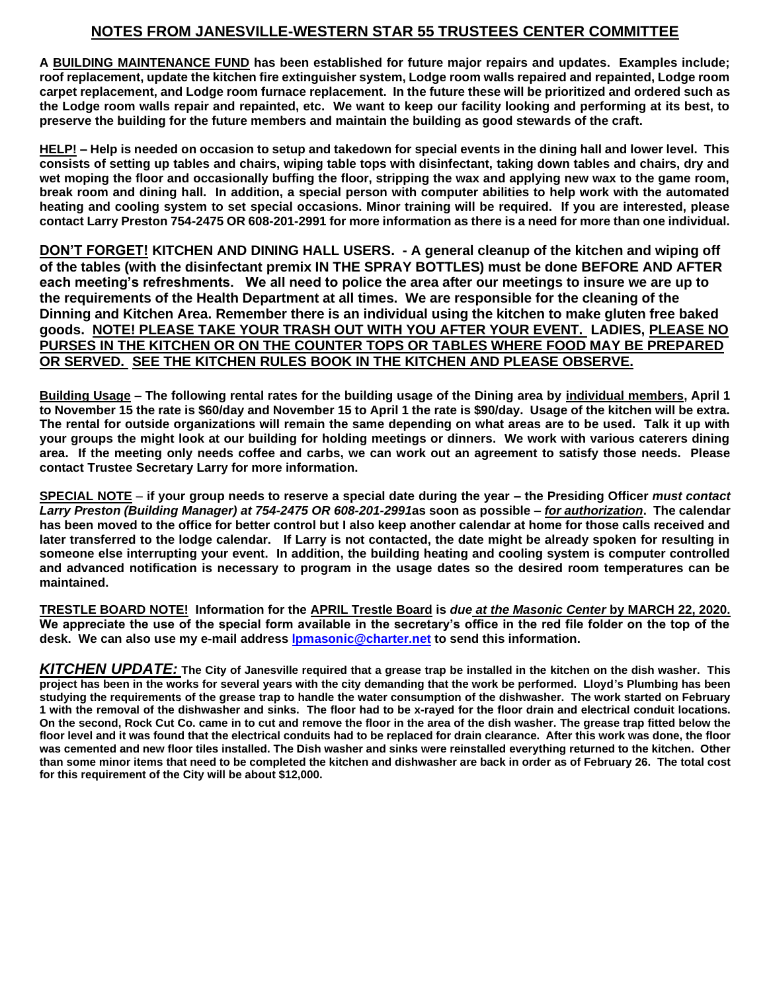## **NOTES FROM JANESVILLE-WESTERN STAR 55 TRUSTEES CENTER COMMITTEE**

**A BUILDING MAINTENANCE FUND has been established for future major repairs and updates. Examples include; roof replacement, update the kitchen fire extinguisher system, Lodge room walls repaired and repainted, Lodge room carpet replacement, and Lodge room furnace replacement. In the future these will be prioritized and ordered such as the Lodge room walls repair and repainted, etc. We want to keep our facility looking and performing at its best, to preserve the building for the future members and maintain the building as good stewards of the craft.** 

**HELP! – Help is needed on occasion to setup and takedown for special events in the dining hall and lower level. This consists of setting up tables and chairs, wiping table tops with disinfectant, taking down tables and chairs, dry and wet moping the floor and occasionally buffing the floor, stripping the wax and applying new wax to the game room, break room and dining hall. In addition, a special person with computer abilities to help work with the automated heating and cooling system to set special occasions. Minor training will be required. If you are interested, please contact Larry Preston 754-2475 OR 608-201-2991 for more information as there is a need for more than one individual.** 

**DON'T FORGET! KITCHEN AND DINING HALL USERS. - A general cleanup of the kitchen and wiping off of the tables (with the disinfectant premix IN THE SPRAY BOTTLES) must be done BEFORE AND AFTER each meeting's refreshments. We all need to police the area after our meetings to insure we are up to the requirements of the Health Department at all times. We are responsible for the cleaning of the Dinning and Kitchen Area. Remember there is an individual using the kitchen to make gluten free baked goods. NOTE! PLEASE TAKE YOUR TRASH OUT WITH YOU AFTER YOUR EVENT. LADIES, PLEASE NO PURSES IN THE KITCHEN OR ON THE COUNTER TOPS OR TABLES WHERE FOOD MAY BE PREPARED OR SERVED. SEE THE KITCHEN RULES BOOK IN THE KITCHEN AND PLEASE OBSERVE.**

**Building Usage – The following rental rates for the building usage of the Dining area by individual members, April 1 to November 15 the rate is \$60/day and November 15 to April 1 the rate is \$90/day. Usage of the kitchen will be extra. The rental for outside organizations will remain the same depending on what areas are to be used. Talk it up with your groups the might look at our building for holding meetings or dinners. We work with various caterers dining area. If the meeting only needs coffee and carbs, we can work out an agreement to satisfy those needs. Please contact Trustee Secretary Larry for more information.** 

**SPECIAL NOTE** – **if your group needs to reserve a special date during the year – the Presiding Officer** *must contact Larry Preston (Building Manager) at 754-2475 OR 608-201-2991***as soon as possible –** *for authorization***. The calendar has been moved to the office for better control but I also keep another calendar at home for those calls received and later transferred to the lodge calendar. If Larry is not contacted, the date might be already spoken for resulting in someone else interrupting your event. In addition, the building heating and cooling system is computer controlled and advanced notification is necessary to program in the usage dates so the desired room temperatures can be maintained.**

**TRESTLE BOARD NOTE! Information for the APRIL Trestle Board is** *due at the Masonic Center* **by MARCH 22, 2020. We appreciate the use of the special form available in the secretary's office in the red file folder on the top of the desk. We can also use my e-mail address [lpmasonic@charter.net](file:///C:/Western%20Star%20Lodge/Trestleboard/lpmasonic@charter.net) to send this information.** 

*KITCHEN UPDATE:* **The City of Janesville required that a grease trap be installed in the kitchen on the dish washer. This project has been in the works for several years with the city demanding that the work be performed. Lloyd's Plumbing has been studying the requirements of the grease trap to handle the water consumption of the dishwasher. The work started on February 1 with the removal of the dishwasher and sinks. The floor had to be x-rayed for the floor drain and electrical conduit locations. On the second, Rock Cut Co. came in to cut and remove the floor in the area of the dish washer. The grease trap fitted below the floor level and it was found that the electrical conduits had to be replaced for drain clearance. After this work was done, the floor was cemented and new floor tiles installed. The Dish washer and sinks were reinstalled everything returned to the kitchen. Other than some minor items that need to be completed the kitchen and dishwasher are back in order as of February 26. The total cost for this requirement of the City will be about \$12,000.**